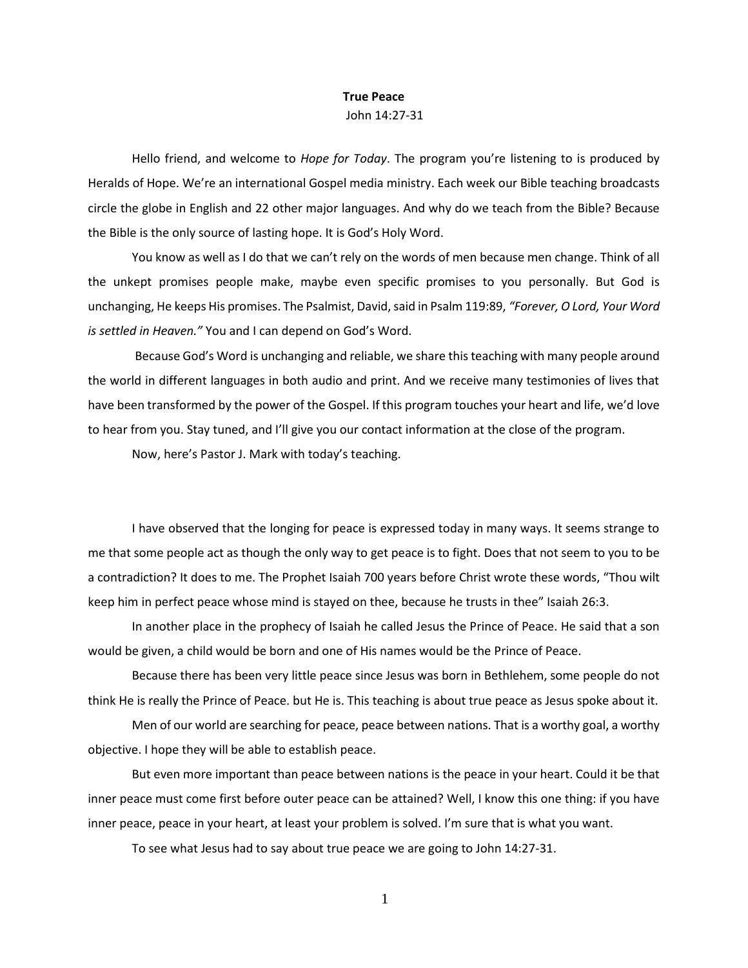## **True Peace**

John 14:27-31

Hello friend, and welcome to *Hope for Today*. The program you're listening to is produced by Heralds of Hope. We're an international Gospel media ministry. Each week our Bible teaching broadcasts circle the globe in English and 22 other major languages. And why do we teach from the Bible? Because the Bible is the only source of lasting hope. It is God's Holy Word.

You know as well as I do that we can't rely on the words of men because men change. Think of all the unkept promises people make, maybe even specific promises to you personally. But God is unchanging, He keeps His promises. The Psalmist, David, said in Psalm 119:89, *"Forever, O Lord, Your Word is settled in Heaven."* You and I can depend on God's Word.

Because God's Word is unchanging and reliable, we share this teaching with many people around the world in different languages in both audio and print. And we receive many testimonies of lives that have been transformed by the power of the Gospel. If this program touches your heart and life, we'd love to hear from you. Stay tuned, and I'll give you our contact information at the close of the program.

Now, here's Pastor J. Mark with today's teaching.

I have observed that the longing for peace is expressed today in many ways. It seems strange to me that some people act as though the only way to get peace is to fight. Does that not seem to you to be a contradiction? It does to me. The Prophet Isaiah 700 years before Christ wrote these words, "Thou wilt keep him in perfect peace whose mind is stayed on thee, because he trusts in thee" Isaiah 26:3.

In another place in the prophecy of Isaiah he called Jesus the Prince of Peace. He said that a son would be given, a child would be born and one of His names would be the Prince of Peace.

Because there has been very little peace since Jesus was born in Bethlehem, some people do not think He is really the Prince of Peace. but He is. This teaching is about true peace as Jesus spoke about it.

Men of our world are searching for peace, peace between nations. That is a worthy goal, a worthy objective. I hope they will be able to establish peace.

But even more important than peace between nations is the peace in your heart. Could it be that inner peace must come first before outer peace can be attained? Well, I know this one thing: if you have inner peace, peace in your heart, at least your problem is solved. I'm sure that is what you want.

To see what Jesus had to say about true peace we are going to John 14:27-31.

1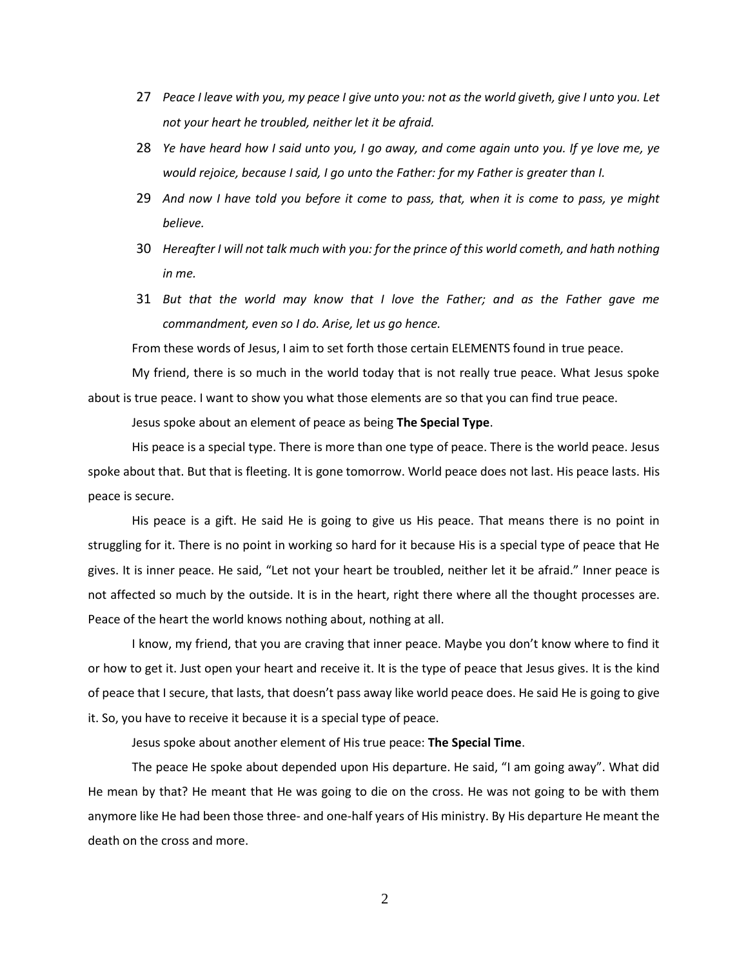- 27 *Peace I leave with you, my peace I give unto you: not as the world giveth, give I unto you. Let not your heart he troubled, neither let it be afraid.*
- 28 *Ye have heard how I said unto you, I go away, and come again unto you. If ye love me, ye would rejoice, because I said, I go unto the Father: for my Father is greater than I.*
- 29 *And now I have told you before it come to pass, that, when it is come to pass, ye might believe.*
- 30 *Hereafter I will not talk much with you: for the prince of this world cometh, and hath nothing in me.*
- 31 *But that the world may know that I love the Father; and as the Father gave me commandment, even so I do. Arise, let us go hence.*

From these words of Jesus, I aim to set forth those certain ELEMENTS found in true peace.

My friend, there is so much in the world today that is not really true peace. What Jesus spoke about is true peace. I want to show you what those elements are so that you can find true peace.

Jesus spoke about an element of peace as being **The Special Type**.

His peace is a special type. There is more than one type of peace. There is the world peace. Jesus spoke about that. But that is fleeting. It is gone tomorrow. World peace does not last. His peace lasts. His peace is secure.

His peace is a gift. He said He is going to give us His peace. That means there is no point in struggling for it. There is no point in working so hard for it because His is a special type of peace that He gives. It is inner peace. He said, "Let not your heart be troubled, neither let it be afraid." Inner peace is not affected so much by the outside. It is in the heart, right there where all the thought processes are. Peace of the heart the world knows nothing about, nothing at all.

I know, my friend, that you are craving that inner peace. Maybe you don't know where to find it or how to get it. Just open your heart and receive it. It is the type of peace that Jesus gives. It is the kind of peace that I secure, that lasts, that doesn't pass away like world peace does. He said He is going to give it. So, you have to receive it because it is a special type of peace.

Jesus spoke about another element of His true peace: **The Special Time**.

The peace He spoke about depended upon His departure. He said, "I am going away". What did He mean by that? He meant that He was going to die on the cross. He was not going to be with them anymore like He had been those three- and one-half years of His ministry. By His departure He meant the death on the cross and more.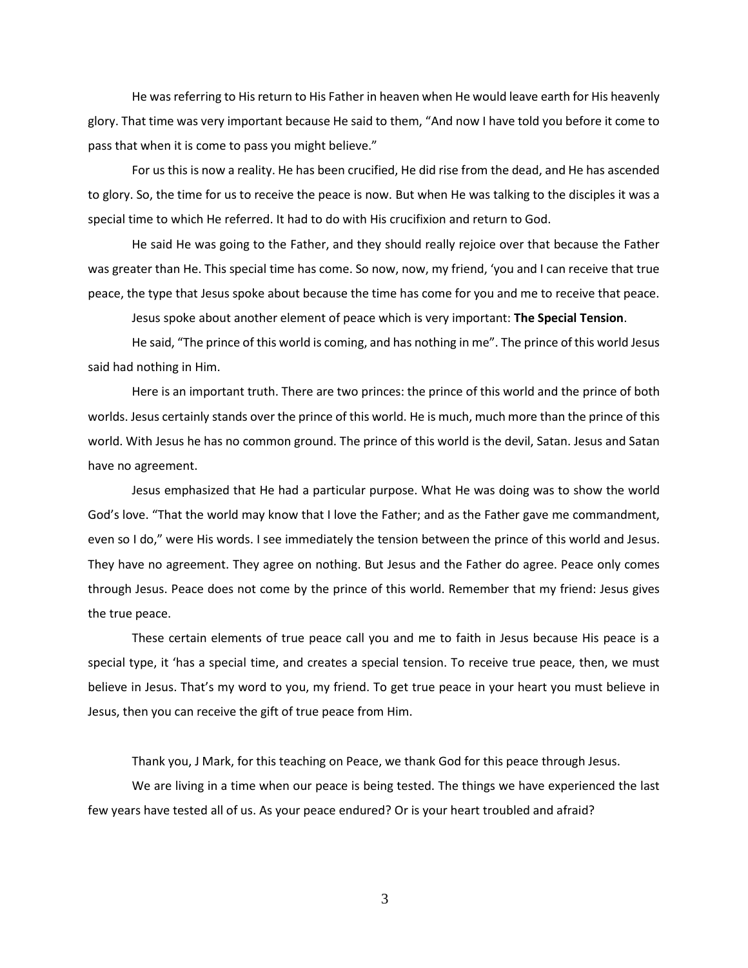He was referring to His return to His Father in heaven when He would leave earth for His heavenly glory. That time was very important because He said to them, "And now I have told you before it come to pass that when it is come to pass you might believe."

For us this is now a reality. He has been crucified, He did rise from the dead, and He has ascended to glory. So, the time for us to receive the peace is now. But when He was talking to the disciples it was a special time to which He referred. It had to do with His crucifixion and return to God.

He said He was going to the Father, and they should really rejoice over that because the Father was greater than He. This special time has come. So now, now, my friend, 'you and I can receive that true peace, the type that Jesus spoke about because the time has come for you and me to receive that peace.

Jesus spoke about another element of peace which is very important: **The Special Tension**.

He said, "The prince of this world is coming, and has nothing in me". The prince of this world Jesus said had nothing in Him.

Here is an important truth. There are two princes: the prince of this world and the prince of both worlds. Jesus certainly stands over the prince of this world. He is much, much more than the prince of this world. With Jesus he has no common ground. The prince of this world is the devil, Satan. Jesus and Satan have no agreement.

Jesus emphasized that He had a particular purpose. What He was doing was to show the world God's love. "That the world may know that I love the Father; and as the Father gave me commandment, even so I do," were His words. I see immediately the tension between the prince of this world and Jesus. They have no agreement. They agree on nothing. But Jesus and the Father do agree. Peace only comes through Jesus. Peace does not come by the prince of this world. Remember that my friend: Jesus gives the true peace.

These certain elements of true peace call you and me to faith in Jesus because His peace is a special type, it 'has a special time, and creates a special tension. To receive true peace, then, we must believe in Jesus. That's my word to you, my friend. To get true peace in your heart you must believe in Jesus, then you can receive the gift of true peace from Him.

Thank you, J Mark, for this teaching on Peace, we thank God for this peace through Jesus.

We are living in a time when our peace is being tested. The things we have experienced the last few years have tested all of us. As your peace endured? Or is your heart troubled and afraid?

3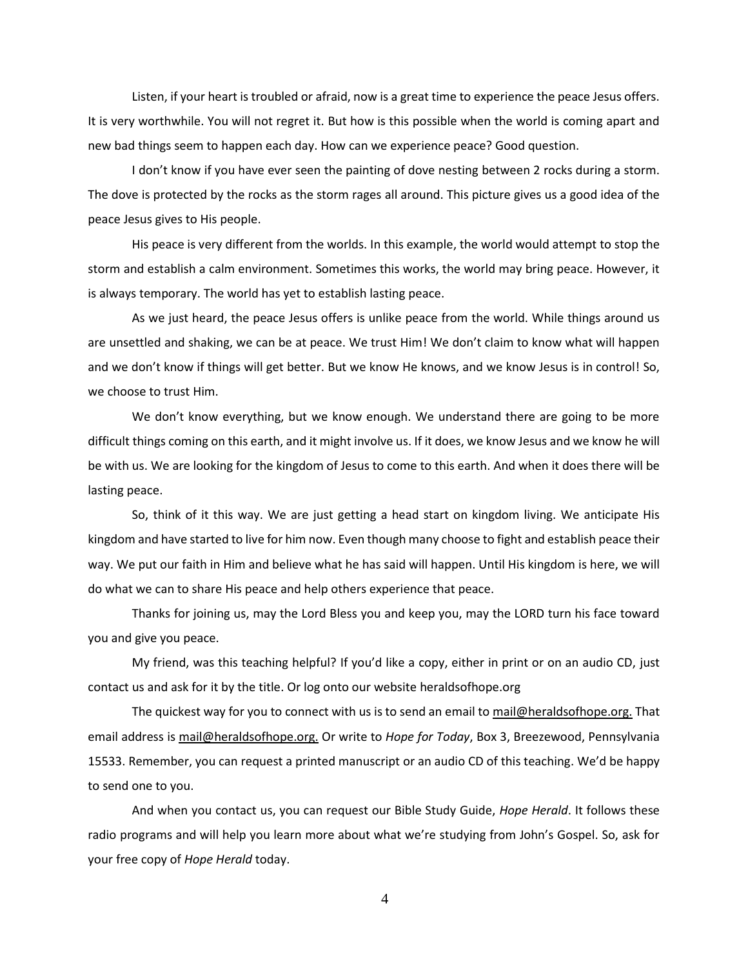Listen, if your heart is troubled or afraid, now is a great time to experience the peace Jesus offers. It is very worthwhile. You will not regret it. But how is this possible when the world is coming apart and new bad things seem to happen each day. How can we experience peace? Good question.

I don't know if you have ever seen the painting of dove nesting between 2 rocks during a storm. The dove is protected by the rocks as the storm rages all around. This picture gives us a good idea of the peace Jesus gives to His people.

His peace is very different from the worlds. In this example, the world would attempt to stop the storm and establish a calm environment. Sometimes this works, the world may bring peace. However, it is always temporary. The world has yet to establish lasting peace.

As we just heard, the peace Jesus offers is unlike peace from the world. While things around us are unsettled and shaking, we can be at peace. We trust Him! We don't claim to know what will happen and we don't know if things will get better. But we know He knows, and we know Jesus is in control! So, we choose to trust Him.

We don't know everything, but we know enough. We understand there are going to be more difficult things coming on this earth, and it might involve us. If it does, we know Jesus and we know he will be with us. We are looking for the kingdom of Jesus to come to this earth. And when it does there will be lasting peace.

So, think of it this way. We are just getting a head start on kingdom living. We anticipate His kingdom and have started to live for him now. Even though many choose to fight and establish peace their way. We put our faith in Him and believe what he has said will happen. Until His kingdom is here, we will do what we can to share His peace and help others experience that peace.

Thanks for joining us, may the Lord Bless you and keep you, may the LORD turn his face toward you and give you peace.

My friend, was this teaching helpful? If you'd like a copy, either in print or on an audio CD, just contact us and ask for it by the title. Or log onto our website heraldsofhope.org

The quickest way for you to connect with us is to send an email to [mail@heraldsofhope.org.](mailto:mail@heraldsofhope.org) That email address is [mail@heraldsofhope.org.](mailto:mail@heraldsofhope.org) Or write to *Hope for Today*, Box 3, Breezewood, Pennsylvania 15533. Remember, you can request a printed manuscript or an audio CD of this teaching. We'd be happy to send one to you.

And when you contact us, you can request our Bible Study Guide, *Hope Herald*. It follows these radio programs and will help you learn more about what we're studying from John's Gospel. So, ask for your free copy of *Hope Herald* today.

4